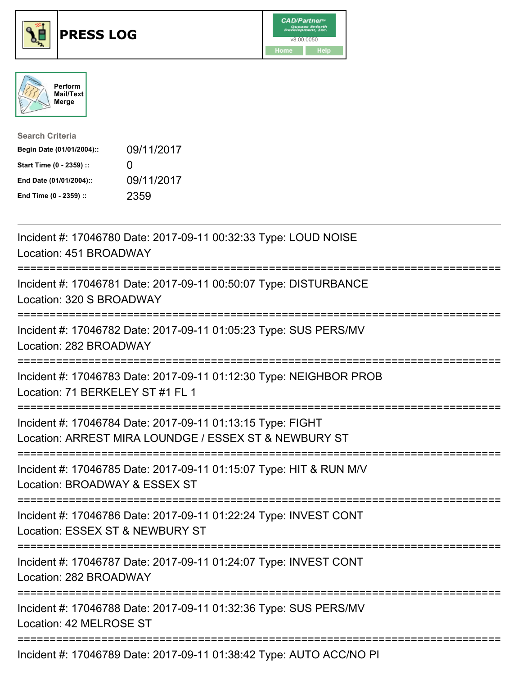





| <b>Search Criteria</b>    |                   |
|---------------------------|-------------------|
| Begin Date (01/01/2004):: | 09/11/2017        |
| Start Time (0 - 2359) ::  | $\mathbf{\Omega}$ |
| End Date (01/01/2004)::   | 09/11/2017        |
| End Time (0 - 2359) ::    | 2359              |

| Incident #: 17046780 Date: 2017-09-11 00:32:33 Type: LOUD NOISE<br>Location: 451 BROADWAY                                                        |
|--------------------------------------------------------------------------------------------------------------------------------------------------|
| Incident #: 17046781 Date: 2017-09-11 00:50:07 Type: DISTURBANCE<br>Location: 320 S BROADWAY                                                     |
| Incident #: 17046782 Date: 2017-09-11 01:05:23 Type: SUS PERS/MV<br>Location: 282 BROADWAY                                                       |
| Incident #: 17046783 Date: 2017-09-11 01:12:30 Type: NEIGHBOR PROB<br>Location: 71 BERKELEY ST #1 FL 1                                           |
| Incident #: 17046784 Date: 2017-09-11 01:13:15 Type: FIGHT<br>Location: ARREST MIRA LOUNDGE / ESSEX ST & NEWBURY ST                              |
| Incident #: 17046785 Date: 2017-09-11 01:15:07 Type: HIT & RUN M/V<br>Location: BROADWAY & ESSEX ST<br>:========================<br>============ |
| Incident #: 17046786 Date: 2017-09-11 01:22:24 Type: INVEST CONT<br>Location: ESSEX ST & NEWBURY ST                                              |
| Incident #: 17046787 Date: 2017-09-11 01:24:07 Type: INVEST CONT<br>Location: 282 BROADWAY                                                       |
| Incident #: 17046788 Date: 2017-09-11 01:32:36 Type: SUS PERS/MV<br>Location: 42 MELROSE ST                                                      |
| :====================================<br>Incident #: 17046789 Date: 2017-09-11 01:38:42 Type: AUTO ACC/NO PI                                     |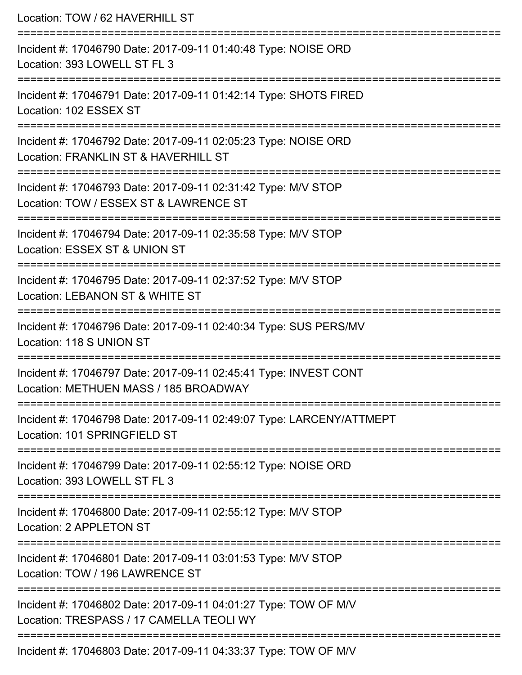| Location: TOW / 62 HAVERHILL ST                                                                             |
|-------------------------------------------------------------------------------------------------------------|
| Incident #: 17046790 Date: 2017-09-11 01:40:48 Type: NOISE ORD<br>Location: 393 LOWELL ST FL 3              |
| Incident #: 17046791 Date: 2017-09-11 01:42:14 Type: SHOTS FIRED<br>Location: 102 ESSEX ST                  |
| Incident #: 17046792 Date: 2017-09-11 02:05:23 Type: NOISE ORD<br>Location: FRANKLIN ST & HAVERHILL ST      |
| Incident #: 17046793 Date: 2017-09-11 02:31:42 Type: M/V STOP<br>Location: TOW / ESSEX ST & LAWRENCE ST     |
| Incident #: 17046794 Date: 2017-09-11 02:35:58 Type: M/V STOP<br>Location: ESSEX ST & UNION ST              |
| Incident #: 17046795 Date: 2017-09-11 02:37:52 Type: M/V STOP<br>Location: LEBANON ST & WHITE ST            |
| Incident #: 17046796 Date: 2017-09-11 02:40:34 Type: SUS PERS/MV<br>Location: 118 S UNION ST                |
| Incident #: 17046797 Date: 2017-09-11 02:45:41 Type: INVEST CONT<br>Location: METHUEN MASS / 185 BROADWAY   |
| Incident #: 17046798 Date: 2017-09-11 02:49:07 Type: LARCENY/ATTMEPT<br>Location: 101 SPRINGFIELD ST        |
| Incident #: 17046799 Date: 2017-09-11 02:55:12 Type: NOISE ORD<br>Location: 393 LOWELL ST FL 3              |
| Incident #: 17046800 Date: 2017-09-11 02:55:12 Type: M/V STOP<br>Location: 2 APPLETON ST                    |
| Incident #: 17046801 Date: 2017-09-11 03:01:53 Type: M/V STOP<br>Location: TOW / 196 LAWRENCE ST            |
| Incident #: 17046802 Date: 2017-09-11 04:01:27 Type: TOW OF M/V<br>Location: TRESPASS / 17 CAMELLA TEOLI WY |
| Incident #: 17046803 Date: 2017-09-11 04:33:37 Type: TOW OF M/V                                             |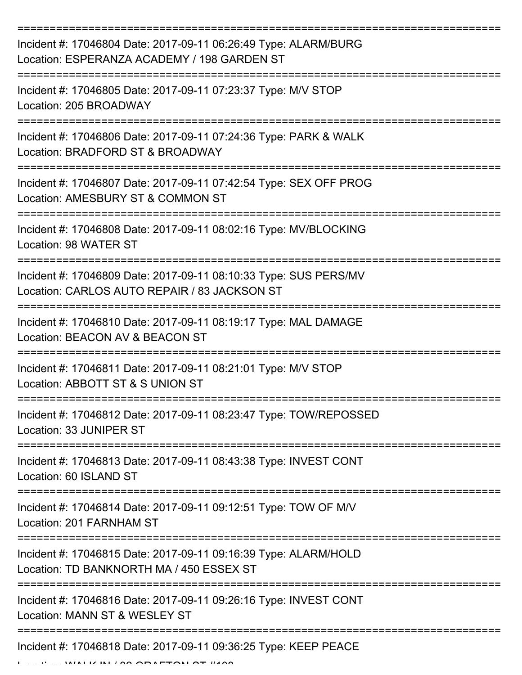| Incident #: 17046804 Date: 2017-09-11 06:26:49 Type: ALARM/BURG<br>Location: ESPERANZA ACADEMY / 198 GARDEN ST            |
|---------------------------------------------------------------------------------------------------------------------------|
| Incident #: 17046805 Date: 2017-09-11 07:23:37 Type: M/V STOP<br>Location: 205 BROADWAY                                   |
| Incident #: 17046806 Date: 2017-09-11 07:24:36 Type: PARK & WALK<br>Location: BRADFORD ST & BROADWAY                      |
| Incident #: 17046807 Date: 2017-09-11 07:42:54 Type: SEX OFF PROG<br>Location: AMESBURY ST & COMMON ST                    |
| Incident #: 17046808 Date: 2017-09-11 08:02:16 Type: MV/BLOCKING<br>Location: 98 WATER ST<br>---------------------------- |
| Incident #: 17046809 Date: 2017-09-11 08:10:33 Type: SUS PERS/MV<br>Location: CARLOS AUTO REPAIR / 83 JACKSON ST          |
| Incident #: 17046810 Date: 2017-09-11 08:19:17 Type: MAL DAMAGE<br>Location: BEACON AV & BEACON ST                        |
| Incident #: 17046811 Date: 2017-09-11 08:21:01 Type: M/V STOP<br>Location: ABBOTT ST & S UNION ST                         |
| Incident #: 17046812 Date: 2017-09-11 08:23:47 Type: TOW/REPOSSED<br>Location: 33 JUNIPER ST                              |
| Incident #: 17046813 Date: 2017-09-11 08:43:38 Type: INVEST CONT<br>Location: 60 ISLAND ST                                |
| Incident #: 17046814 Date: 2017-09-11 09:12:51 Type: TOW OF M/V<br>Location: 201 FARNHAM ST                               |
| Incident #: 17046815 Date: 2017-09-11 09:16:39 Type: ALARM/HOLD<br>Location: TD BANKNORTH MA / 450 ESSEX ST               |
| Incident #: 17046816 Date: 2017-09-11 09:26:16 Type: INVEST CONT<br>Location: MANN ST & WESLEY ST                         |
| Incident #: 17046818 Date: 2017-09-11 09:36:25 Type: KEEP PEACE                                                           |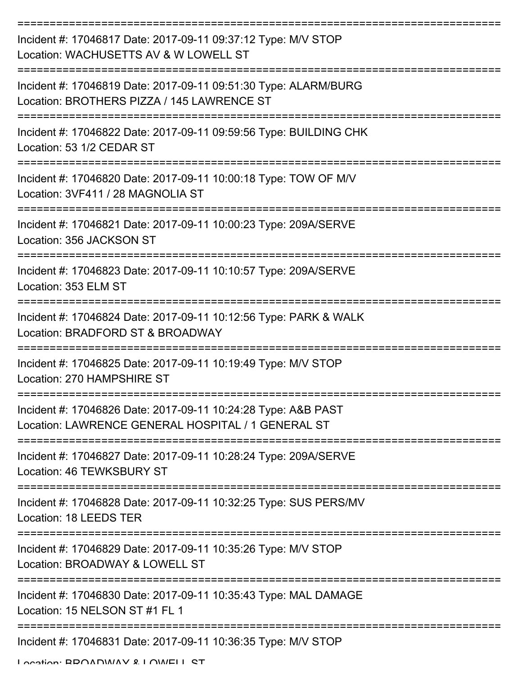| Incident #: 17046817 Date: 2017-09-11 09:37:12 Type: M/V STOP<br>Location: WACHUSETTS AV & W LOWELL ST              |
|---------------------------------------------------------------------------------------------------------------------|
| Incident #: 17046819 Date: 2017-09-11 09:51:30 Type: ALARM/BURG<br>Location: BROTHERS PIZZA / 145 LAWRENCE ST       |
| Incident #: 17046822 Date: 2017-09-11 09:59:56 Type: BUILDING CHK<br>Location: 53 1/2 CEDAR ST                      |
| Incident #: 17046820 Date: 2017-09-11 10:00:18 Type: TOW OF M/V<br>Location: 3VF411 / 28 MAGNOLIA ST                |
| Incident #: 17046821 Date: 2017-09-11 10:00:23 Type: 209A/SERVE<br>Location: 356 JACKSON ST                         |
| Incident #: 17046823 Date: 2017-09-11 10:10:57 Type: 209A/SERVE<br>Location: 353 ELM ST                             |
| Incident #: 17046824 Date: 2017-09-11 10:12:56 Type: PARK & WALK<br>Location: BRADFORD ST & BROADWAY                |
| Incident #: 17046825 Date: 2017-09-11 10:19:49 Type: M/V STOP<br>Location: 270 HAMPSHIRF ST                         |
| Incident #: 17046826 Date: 2017-09-11 10:24:28 Type: A&B PAST<br>Location: LAWRENCE GENERAL HOSPITAL / 1 GENERAL ST |
| Incident #: 17046827 Date: 2017-09-11 10:28:24 Type: 209A/SERVE<br>Location: 46 TEWKSBURY ST                        |
| Incident #: 17046828 Date: 2017-09-11 10:32:25 Type: SUS PERS/MV<br>Location: 18 LEEDS TER                          |
| Incident #: 17046829 Date: 2017-09-11 10:35:26 Type: M/V STOP<br>Location: BROADWAY & LOWELL ST                     |
| Incident #: 17046830 Date: 2017-09-11 10:35:43 Type: MAL DAMAGE<br>Location: 15 NELSON ST #1 FL 1                   |
| Incident #: 17046831 Date: 2017-09-11 10:36:35 Type: M/V STOP                                                       |

Location: BROADWAY & LOWELL ST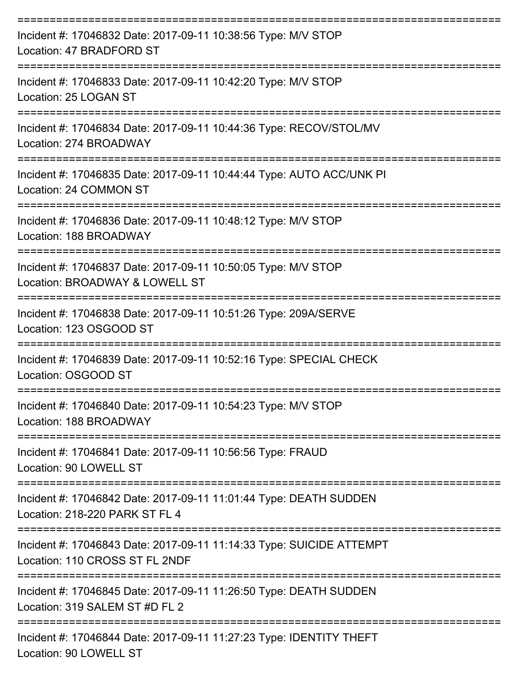| Incident #: 17046832 Date: 2017-09-11 10:38:56 Type: M/V STOP<br>Location: 47 BRADFORD ST              |
|--------------------------------------------------------------------------------------------------------|
| Incident #: 17046833 Date: 2017-09-11 10:42:20 Type: M/V STOP<br>Location: 25 LOGAN ST                 |
| Incident #: 17046834 Date: 2017-09-11 10:44:36 Type: RECOV/STOL/MV<br>Location: 274 BROADWAY           |
| Incident #: 17046835 Date: 2017-09-11 10:44:44 Type: AUTO ACC/UNK PI<br>Location: 24 COMMON ST         |
| Incident #: 17046836 Date: 2017-09-11 10:48:12 Type: M/V STOP<br>Location: 188 BROADWAY                |
| Incident #: 17046837 Date: 2017-09-11 10:50:05 Type: M/V STOP<br>Location: BROADWAY & LOWELL ST        |
| Incident #: 17046838 Date: 2017-09-11 10:51:26 Type: 209A/SERVE<br>Location: 123 OSGOOD ST             |
| Incident #: 17046839 Date: 2017-09-11 10:52:16 Type: SPECIAL CHECK<br>Location: OSGOOD ST              |
| Incident #: 17046840 Date: 2017-09-11 10:54:23 Type: M/V STOP<br>Location: 188 BROADWAY                |
| Incident #: 17046841 Date: 2017-09-11 10:56:56 Type: FRAUD<br>Location: 90 LOWELL ST                   |
| Incident #: 17046842 Date: 2017-09-11 11:01:44 Type: DEATH SUDDEN<br>Location: 218-220 PARK ST FL 4    |
| Incident #: 17046843 Date: 2017-09-11 11:14:33 Type: SUICIDE ATTEMPT<br>Location: 110 CROSS ST FL 2NDF |
| Incident #: 17046845 Date: 2017-09-11 11:26:50 Type: DEATH SUDDEN<br>Location: 319 SALEM ST #D FL 2    |
| Incident #: 17046844 Date: 2017-09-11 11:27:23 Type: IDENTITY THEFT<br>Location: 90 LOWELL ST          |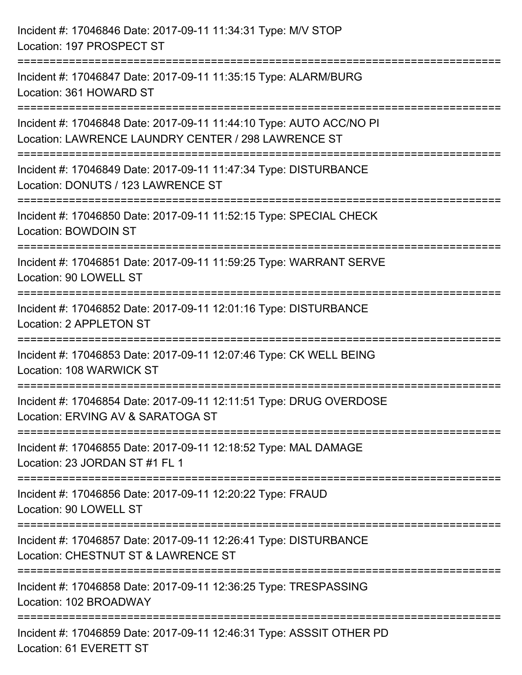| Incident #: 17046846 Date: 2017-09-11 11:34:31 Type: M/V STOP<br>Location: 197 PROSPECT ST                                 |
|----------------------------------------------------------------------------------------------------------------------------|
| Incident #: 17046847 Date: 2017-09-11 11:35:15 Type: ALARM/BURG<br>Location: 361 HOWARD ST                                 |
| Incident #: 17046848 Date: 2017-09-11 11:44:10 Type: AUTO ACC/NO PI<br>Location: LAWRENCE LAUNDRY CENTER / 298 LAWRENCE ST |
| Incident #: 17046849 Date: 2017-09-11 11:47:34 Type: DISTURBANCE<br>Location: DONUTS / 123 LAWRENCE ST                     |
| Incident #: 17046850 Date: 2017-09-11 11:52:15 Type: SPECIAL CHECK<br><b>Location: BOWDOIN ST</b>                          |
| Incident #: 17046851 Date: 2017-09-11 11:59:25 Type: WARRANT SERVE<br>Location: 90 LOWELL ST                               |
| Incident #: 17046852 Date: 2017-09-11 12:01:16 Type: DISTURBANCE<br>Location: 2 APPLETON ST                                |
| Incident #: 17046853 Date: 2017-09-11 12:07:46 Type: CK WELL BEING<br>Location: 108 WARWICK ST                             |
| Incident #: 17046854 Date: 2017-09-11 12:11:51 Type: DRUG OVERDOSE<br>Location: ERVING AV & SARATOGA ST                    |
| Incident #: 17046855 Date: 2017-09-11 12:18:52 Type: MAL DAMAGE<br>Location: 23 JORDAN ST #1 FL 1                          |
| Incident #: 17046856 Date: 2017-09-11 12:20:22 Type: FRAUD<br>Location: 90 LOWELL ST                                       |
| Incident #: 17046857 Date: 2017-09-11 12:26:41 Type: DISTURBANCE<br>Location: CHESTNUT ST & LAWRENCE ST                    |
| Incident #: 17046858 Date: 2017-09-11 12:36:25 Type: TRESPASSING<br>Location: 102 BROADWAY                                 |
| Incident #: 17046859 Date: 2017-09-11 12:46:31 Type: ASSSIT OTHER PD<br>Location: 61 EVERETT ST                            |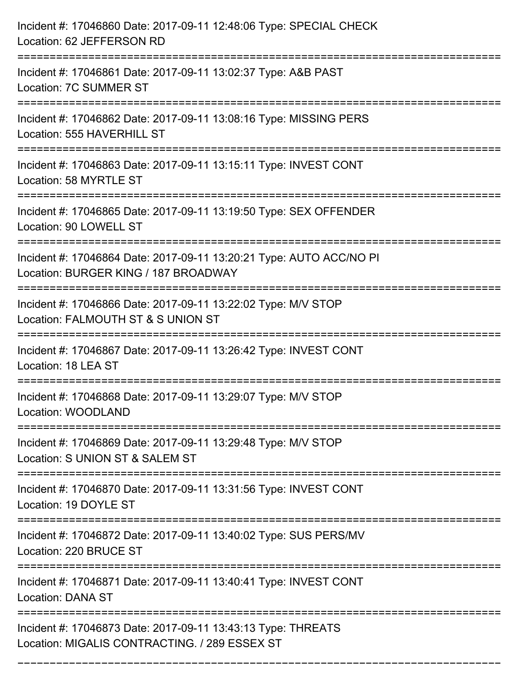| Incident #: 17046860 Date: 2017-09-11 12:48:06 Type: SPECIAL CHECK<br>Location: 62 JEFFERSON RD                                                 |
|-------------------------------------------------------------------------------------------------------------------------------------------------|
| Incident #: 17046861 Date: 2017-09-11 13:02:37 Type: A&B PAST<br>Location: 7C SUMMER ST                                                         |
| Incident #: 17046862 Date: 2017-09-11 13:08:16 Type: MISSING PERS<br>Location: 555 HAVERHILL ST                                                 |
| Incident #: 17046863 Date: 2017-09-11 13:15:11 Type: INVEST CONT<br>Location: 58 MYRTLE ST                                                      |
| Incident #: 17046865 Date: 2017-09-11 13:19:50 Type: SEX OFFENDER<br>Location: 90 LOWELL ST                                                     |
| Incident #: 17046864 Date: 2017-09-11 13:20:21 Type: AUTO ACC/NO PI<br>Location: BURGER KING / 187 BROADWAY<br>:=============================== |
| Incident #: 17046866 Date: 2017-09-11 13:22:02 Type: M/V STOP<br>Location: FALMOUTH ST & S UNION ST                                             |
| Incident #: 17046867 Date: 2017-09-11 13:26:42 Type: INVEST CONT<br>Location: 18 LEA ST                                                         |
| Incident #: 17046868 Date: 2017-09-11 13:29:07 Type: M/V STOP<br>Location: WOODLAND                                                             |
| Incident #: 17046869 Date: 2017-09-11 13:29:48 Type: M/V STOP<br>Location: S UNION ST & SALEM ST                                                |
| Incident #: 17046870 Date: 2017-09-11 13:31:56 Type: INVEST CONT<br>Location: 19 DOYLE ST                                                       |
| Incident #: 17046872 Date: 2017-09-11 13:40:02 Type: SUS PERS/MV<br>Location: 220 BRUCE ST                                                      |
| Incident #: 17046871 Date: 2017-09-11 13:40:41 Type: INVEST CONT<br><b>Location: DANA ST</b>                                                    |
| Incident #: 17046873 Date: 2017-09-11 13:43:13 Type: THREATS<br>Location: MIGALIS CONTRACTING. / 289 ESSEX ST                                   |

===========================================================================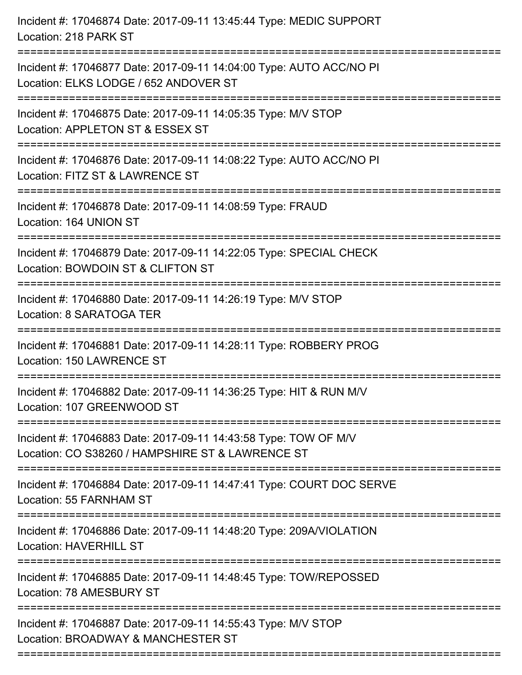| Incident #: 17046874 Date: 2017-09-11 13:45:44 Type: MEDIC SUPPORT<br>Location: 218 PARK ST                                                                                                    |
|------------------------------------------------------------------------------------------------------------------------------------------------------------------------------------------------|
| Incident #: 17046877 Date: 2017-09-11 14:04:00 Type: AUTO ACC/NO PI<br>Location: ELKS LODGE / 652 ANDOVER ST                                                                                   |
| Incident #: 17046875 Date: 2017-09-11 14:05:35 Type: M/V STOP<br>Location: APPLETON ST & ESSEX ST<br>:===================================                                                      |
| Incident #: 17046876 Date: 2017-09-11 14:08:22 Type: AUTO ACC/NO PI<br>Location: FITZ ST & LAWRENCE ST                                                                                         |
| Incident #: 17046878 Date: 2017-09-11 14:08:59 Type: FRAUD<br>Location: 164 UNION ST                                                                                                           |
| Incident #: 17046879 Date: 2017-09-11 14:22:05 Type: SPECIAL CHECK<br>Location: BOWDOIN ST & CLIFTON ST                                                                                        |
| Incident #: 17046880 Date: 2017-09-11 14:26:19 Type: M/V STOP<br>Location: 8 SARATOGA TER<br>================================                                                                  |
| Incident #: 17046881 Date: 2017-09-11 14:28:11 Type: ROBBERY PROG<br>Location: 150 LAWRENCE ST                                                                                                 |
| Incident #: 17046882 Date: 2017-09-11 14:36:25 Type: HIT & RUN M/V<br>Location: 107 GREENWOOD ST                                                                                               |
| Incident #: 17046883 Date: 2017-09-11 14:43:58 Type: TOW OF M/V<br>Location: CO S38260 / HAMPSHIRE ST & LAWRENCE ST<br>===================================<br>-------------------------------- |
| Incident #: 17046884 Date: 2017-09-11 14:47:41 Type: COURT DOC SERVE<br>Location: 55 FARNHAM ST                                                                                                |
| Incident #: 17046886 Date: 2017-09-11 14:48:20 Type: 209A/VIOLATION<br><b>Location: HAVERHILL ST</b>                                                                                           |
| Incident #: 17046885 Date: 2017-09-11 14:48:45 Type: TOW/REPOSSED<br>Location: 78 AMESBURY ST                                                                                                  |
| Incident #: 17046887 Date: 2017-09-11 14:55:43 Type: M/V STOP<br>Location: BROADWAY & MANCHESTER ST                                                                                            |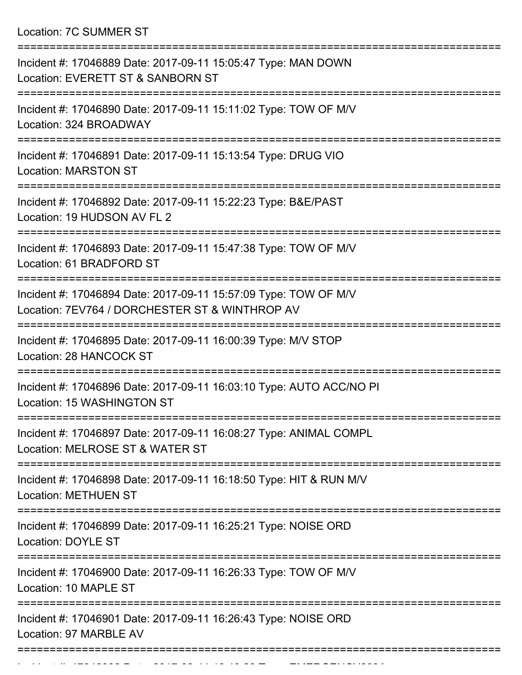Location: 7C SUMMER ST

| Incident #: 17046889 Date: 2017-09-11 15:05:47 Type: MAN DOWN<br>Location: EVERETT ST & SANBORN ST                        |
|---------------------------------------------------------------------------------------------------------------------------|
| Incident #: 17046890 Date: 2017-09-11 15:11:02 Type: TOW OF M/V<br>Location: 324 BROADWAY                                 |
| Incident #: 17046891 Date: 2017-09-11 15:13:54 Type: DRUG VIO<br><b>Location: MARSTON ST</b>                              |
| Incident #: 17046892 Date: 2017-09-11 15:22:23 Type: B&E/PAST<br>Location: 19 HUDSON AV FL 2                              |
| Incident #: 17046893 Date: 2017-09-11 15:47:38 Type: TOW OF M/V<br>Location: 61 BRADFORD ST                               |
| Incident #: 17046894 Date: 2017-09-11 15:57:09 Type: TOW OF M/V<br>Location: 7EV764 / DORCHESTER ST & WINTHROP AV         |
| Incident #: 17046895 Date: 2017-09-11 16:00:39 Type: M/V STOP<br>Location: 28 HANCOCK ST                                  |
| Incident #: 17046896 Date: 2017-09-11 16:03:10 Type: AUTO ACC/NO PI<br>Location: 15 WASHINGTON ST                         |
| =================<br>Incident #: 17046897 Date: 2017-09-11 16:08:27 Type: ANIMAL COMPL<br>Location: MELROSE ST & WATER ST |
| Incident #: 17046898 Date: 2017-09-11 16:18:50 Type: HIT & RUN M/V<br><b>Location: METHUEN ST</b>                         |
| Incident #: 17046899 Date: 2017-09-11 16:25:21 Type: NOISE ORD<br><b>Location: DOYLE ST</b>                               |
| =====================<br>Incident #: 17046900 Date: 2017-09-11 16:26:33 Type: TOW OF M/V<br>Location: 10 MAPLE ST         |
| Incident #: 17046901 Date: 2017-09-11 16:26:43 Type: NOISE ORD<br>Location: 97 MARBLE AV                                  |
|                                                                                                                           |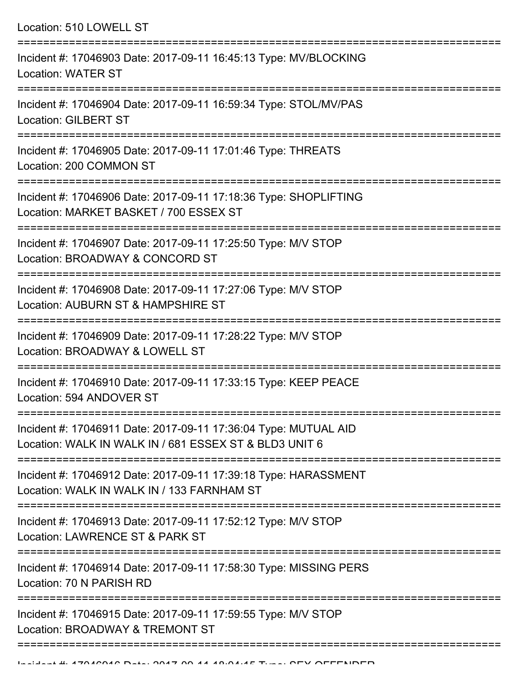Location: 510 LOWELL ST =========================================================================== Incident #: 17046903 Date: 2017-09-11 16:45:13 Type: MV/BLOCKING Location: WATER ST =========================================================================== Incident #: 17046904 Date: 2017-09-11 16:59:34 Type: STOL/MV/PAS Location: GILBERT ST =========================================================================== Incident #: 17046905 Date: 2017-09-11 17:01:46 Type: THREATS Location: 200 COMMON ST =========================================================================== Incident #: 17046906 Date: 2017-09-11 17:18:36 Type: SHOPLIFTING Location: MARKET BASKET / 700 ESSEX ST =========================================================================== Incident #: 17046907 Date: 2017-09-11 17:25:50 Type: M/V STOP Location: BROADWAY & CONCORD ST =========================================================================== Incident #: 17046908 Date: 2017-09-11 17:27:06 Type: M/V STOP Location: AUBURN ST & HAMPSHIRE ST =========================================================================== Incident #: 17046909 Date: 2017-09-11 17:28:22 Type: M/V STOP Location: BROADWAY & LOWELL ST =========================================================================== Incident #: 17046910 Date: 2017-09-11 17:33:15 Type: KEEP PEACE Location: 594 ANDOVER ST =========================================================================== Incident #: 17046911 Date: 2017-09-11 17:36:04 Type: MUTUAL AID Location: WALK IN WALK IN / 681 ESSEX ST & BLD3 UNIT 6 =========================================================================== Incident #: 17046912 Date: 2017-09-11 17:39:18 Type: HARASSMENT Location: WALK IN WALK IN / 133 FARNHAM ST =========================================================================== Incident #: 17046913 Date: 2017-09-11 17:52:12 Type: M/V STOP Location: LAWRENCE ST & PARK ST =========================================================================== Incident #: 17046914 Date: 2017-09-11 17:58:30 Type: MISSING PERS Location: 70 N PARISH RD =========================================================================== Incident #: 17046915 Date: 2017-09-11 17:59:55 Type: M/V STOP Location: BROADWAY & TREMONT ST

===================================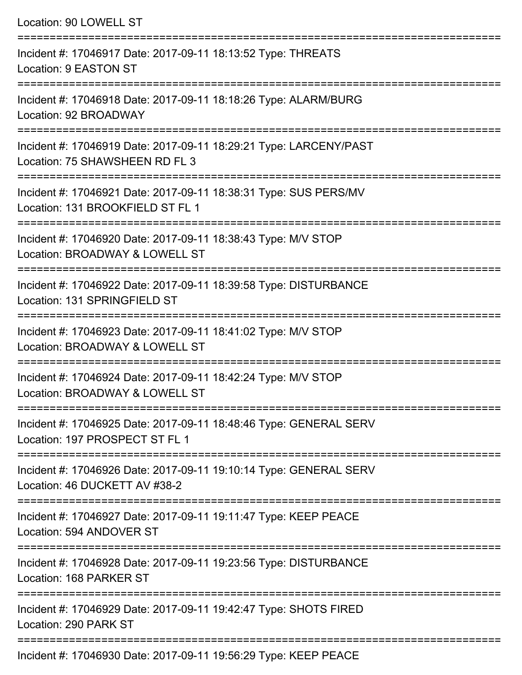| Location: 90 LOWELL ST                                                                                                                   |
|------------------------------------------------------------------------------------------------------------------------------------------|
| Incident #: 17046917 Date: 2017-09-11 18:13:52 Type: THREATS<br>Location: 9 EASTON ST                                                    |
| Incident #: 17046918 Date: 2017-09-11 18:18:26 Type: ALARM/BURG<br>Location: 92 BROADWAY                                                 |
| Incident #: 17046919 Date: 2017-09-11 18:29:21 Type: LARCENY/PAST<br>Location: 75 SHAWSHEEN RD FL 3                                      |
| Incident #: 17046921 Date: 2017-09-11 18:38:31 Type: SUS PERS/MV<br>Location: 131 BROOKFIELD ST FL 1                                     |
| Incident #: 17046920 Date: 2017-09-11 18:38:43 Type: M/V STOP<br>Location: BROADWAY & LOWELL ST<br>===================================== |
| Incident #: 17046922 Date: 2017-09-11 18:39:58 Type: DISTURBANCE<br>Location: 131 SPRINGFIELD ST                                         |
| Incident #: 17046923 Date: 2017-09-11 18:41:02 Type: M/V STOP<br>Location: BROADWAY & LOWELL ST                                          |
| Incident #: 17046924 Date: 2017-09-11 18:42:24 Type: M/V STOP<br>Location: BROADWAY & LOWELL ST                                          |
| Incident #: 17046925 Date: 2017-09-11 18:48:46 Type: GENERAL SERV<br>Location: 197 PROSPECT ST FL 1                                      |
| Incident #: 17046926 Date: 2017-09-11 19:10:14 Type: GENERAL SERV<br>Location: 46 DUCKETT AV #38-2                                       |
| Incident #: 17046927 Date: 2017-09-11 19:11:47 Type: KEEP PEACE<br>Location: 594 ANDOVER ST                                              |
| Incident #: 17046928 Date: 2017-09-11 19:23:56 Type: DISTURBANCE<br>Location: 168 PARKER ST                                              |
| Incident #: 17046929 Date: 2017-09-11 19:42:47 Type: SHOTS FIRED<br>Location: 290 PARK ST                                                |

Incident #: 17046930 Date: 2017-09-11 19:56:29 Type: KEEP PEACE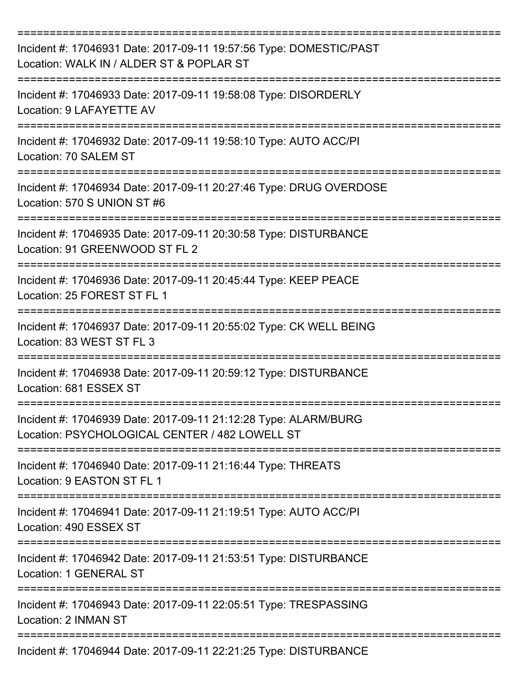| Incident #: 17046931 Date: 2017-09-11 19:57:56 Type: DOMESTIC/PAST<br>Location: WALK IN / ALDER ST & POPLAR ST<br>===================== |
|-----------------------------------------------------------------------------------------------------------------------------------------|
| Incident #: 17046933 Date: 2017-09-11 19:58:08 Type: DISORDERLY<br>Location: 9 LAFAYETTE AV                                             |
| Incident #: 17046932 Date: 2017-09-11 19:58:10 Type: AUTO ACC/PI<br>Location: 70 SALEM ST                                               |
| Incident #: 17046934 Date: 2017-09-11 20:27:46 Type: DRUG OVERDOSE<br>Location: 570 S UNION ST #6                                       |
| Incident #: 17046935 Date: 2017-09-11 20:30:58 Type: DISTURBANCE<br>Location: 91 GREENWOOD ST FL 2                                      |
| Incident #: 17046936 Date: 2017-09-11 20:45:44 Type: KEEP PEACE<br>Location: 25 FOREST ST FL 1                                          |
| Incident #: 17046937 Date: 2017-09-11 20:55:02 Type: CK WELL BEING<br>Location: 83 WEST ST FL 3                                         |
| Incident #: 17046938 Date: 2017-09-11 20:59:12 Type: DISTURBANCE<br>Location: 681 ESSEX ST                                              |
| Incident #: 17046939 Date: 2017-09-11 21:12:28 Type: ALARM/BURG<br>Location: PSYCHOLOGICAL CENTER / 482 LOWELL ST                       |
| Incident #: 17046940 Date: 2017-09-11 21:16:44 Type: THREATS<br>Location: 9 EASTON ST FL 1                                              |
| Incident #: 17046941 Date: 2017-09-11 21:19:51 Type: AUTO ACC/PI<br>Location: 490 ESSEX ST                                              |
| Incident #: 17046942 Date: 2017-09-11 21:53:51 Type: DISTURBANCE<br><b>Location: 1 GENERAL ST</b>                                       |
| Incident #: 17046943 Date: 2017-09-11 22:05:51 Type: TRESPASSING<br>Location: 2 INMAN ST                                                |
| Incident #: 17046944 Date: 2017-09-11 22:21:25 Type: DISTURBANCE                                                                        |